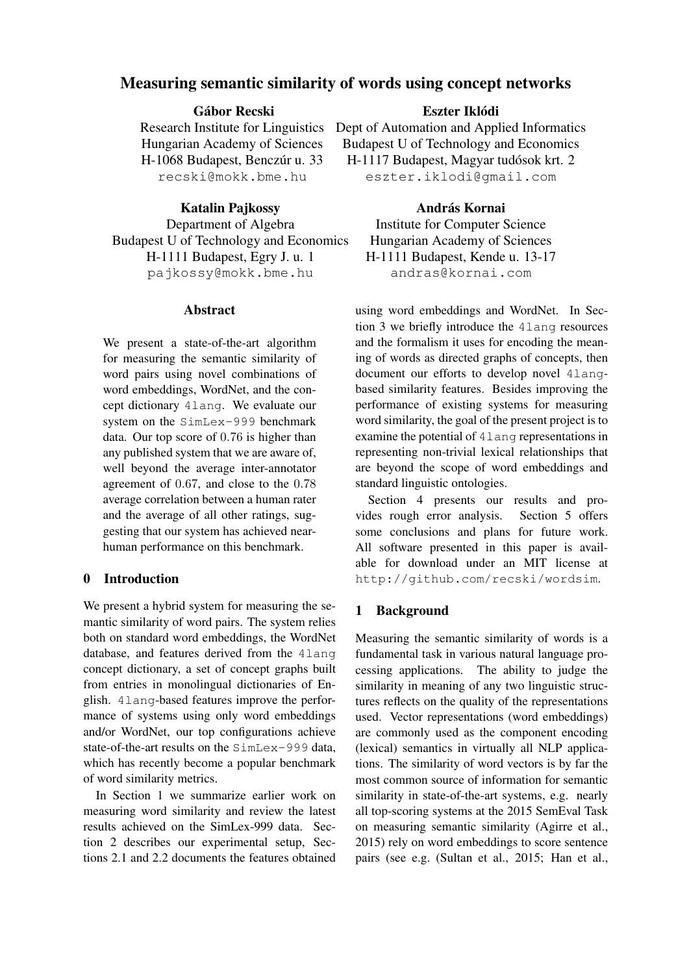# Measuring semantic similarity of words using concept networks

## Gábor Recski

Research Institute for Linguistics Hungarian Academy of Sciences H-1068 Budapest, Benczúr u. 33 recski@mokk.bme.hu

### Katalin Pajkossy

Department of Algebra Budapest U of Technology and Economics H-1111 Budapest, Egry J. u. 1 pajkossy@mokk.bme.hu

## Abstract

We present a state-of-the-art algorithm for measuring the semantic similarity of word pairs using novel combinations of word embeddings, WordNet, and the concept dictionary 4lang. We evaluate our system on the SimLex-999 benchmark data. Our top score of 0.76 is higher than any published system that we are aware of, well beyond the average inter-annotator agreement of 0.67, and close to the 0.78 average correlation between a human rater and the average of all other ratings, suggesting that our system has achieved nearhuman performance on this benchmark.

#### 0 Introduction

We present a hybrid system for measuring the semantic similarity of word pairs. The system relies both on standard word embeddings, the WordNet database, and features derived from the 4lang concept dictionary, a set of concept graphs built from entries in monolingual dictionaries of English. 4lang-based features improve the performance of systems using only word embeddings and/or WordNet, our top configurations achieve state-of-the-art results on the SimLex-999 data, which has recently become a popular benchmark of word similarity metrics.

In Section 1 we summarize earlier work on measuring word similarity and review the latest results achieved on the SimLex-999 data. Section 2 describes our experimental setup, Sections 2.1 and 2.2 documents the features obtained

## Eszter Iklódi

Dept of Automation and Applied Informatics Budapest U of Technology and Economics H-1117 Budapest, Magyar tudósok krt. 2 eszter.iklodi@gmail.com

## András Kornai

Institute for Computer Science Hungarian Academy of Sciences H-1111 Budapest, Kende u. 13-17 andras@kornai.com

using word embeddings and WordNet. In Section 3 we briefly introduce the 4lang resources and the formalism it uses for encoding the meaning of words as directed graphs of concepts, then document our efforts to develop novel 4langbased similarity features. Besides improving the performance of existing systems for measuring word similarity, the goal of the present project is to examine the potential of 4lang representations in representing non-trivial lexical relationships that are beyond the scope of word embeddings and standard linguistic ontologies.

Section 4 presents our results and provides rough error analysis. Section 5 offers some conclusions and plans for future work. All software presented in this paper is available for download under an MIT license at http://github.com/recski/wordsim.

### 1 Background

Measuring the semantic similarity of words is a fundamental task in various natural language processing applications. The ability to judge the similarity in meaning of any two linguistic structures reflects on the quality of the representations used. Vector representations (word embeddings) are commonly used as the component encoding (lexical) semantics in virtually all NLP applications. The similarity of word vectors is by far the most common source of information for semantic similarity in state-of-the-art systems, e.g. nearly all top-scoring systems at the 2015 SemEval Task on measuring semantic similarity (Agirre et al., 2015) rely on word embeddings to score sentence pairs (see e.g. (Sultan et al., 2015; Han et al.,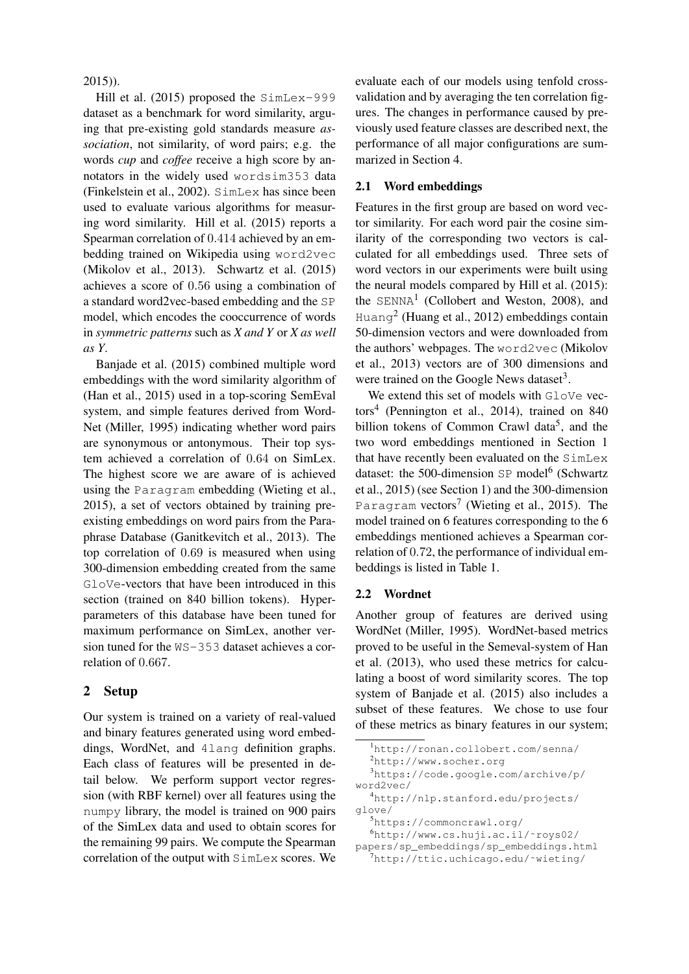2015)).

Hill et al. (2015) proposed the SimLex-999 dataset as a benchmark for word similarity, arguing that pre-existing gold standards measure *association*, not similarity, of word pairs; e.g. the words *cup* and *coffee* receive a high score by annotators in the widely used wordsim353 data (Finkelstein et al., 2002). SimLex has since been used to evaluate various algorithms for measuring word similarity. Hill et al. (2015) reports a Spearman correlation of 0.414 achieved by an embedding trained on Wikipedia using word2vec (Mikolov et al., 2013). Schwartz et al. (2015) achieves a score of 0.56 using a combination of a standard word2vec-based embedding and the SP model, which encodes the cooccurrence of words in *symmetric patterns* such as *X and Y* or *X as well as Y*.

Banjade et al. (2015) combined multiple word embeddings with the word similarity algorithm of (Han et al., 2015) used in a top-scoring SemEval system, and simple features derived from Word-Net (Miller, 1995) indicating whether word pairs are synonymous or antonymous. Their top system achieved a correlation of 0.64 on SimLex. The highest score we are aware of is achieved using the Paragram embedding (Wieting et al., 2015), a set of vectors obtained by training preexisting embeddings on word pairs from the Paraphrase Database (Ganitkevitch et al., 2013). The top correlation of 0.69 is measured when using 300-dimension embedding created from the same GloVe-vectors that have been introduced in this section (trained on 840 billion tokens). Hyperparameters of this database have been tuned for maximum performance on SimLex, another version tuned for the WS-353 dataset achieves a correlation of 0.667.

### 2 Setup

Our system is trained on a variety of real-valued and binary features generated using word embeddings, WordNet, and 4lang definition graphs. Each class of features will be presented in detail below. We perform support vector regression (with RBF kernel) over all features using the numpy library, the model is trained on 900 pairs of the SimLex data and used to obtain scores for the remaining 99 pairs. We compute the Spearman correlation of the output with SimLex scores. We evaluate each of our models using tenfold crossvalidation and by averaging the ten correlation figures. The changes in performance caused by previously used feature classes are described next, the performance of all major configurations are summarized in Section 4.

### 2.1 Word embeddings

Features in the first group are based on word vector similarity. For each word pair the cosine similarity of the corresponding two vectors is calculated for all embeddings used. Three sets of word vectors in our experiments were built using the neural models compared by Hill et al. (2015): the  $SEMNA<sup>1</sup>$  (Collobert and Weston, 2008), and Huang<sup>2</sup> (Huang et al., 2012) embeddings contain 50-dimension vectors and were downloaded from the authors' webpages. The word2vec (Mikolov et al., 2013) vectors are of 300 dimensions and were trained on the Google News dataset<sup>3</sup>.

We extend this set of models with GloVe vectors<sup>4</sup> (Pennington et al., 2014), trained on 840 billion tokens of Common Crawl data<sup>5</sup>, and the two word embeddings mentioned in Section 1 that have recently been evaluated on the SimLex dataset: the 500-dimension SP model<sup>6</sup> (Schwartz et al., 2015) (see Section 1) and the 300-dimension Paragram vectors<sup>7</sup> (Wieting et al., 2015). The model trained on 6 features corresponding to the 6 embeddings mentioned achieves a Spearman correlation of 0.72, the performance of individual embeddings is listed in Table 1.

### 2.2 Wordnet

Another group of features are derived using WordNet (Miller, 1995). WordNet-based metrics proved to be useful in the Semeval-system of Han et al. (2013), who used these metrics for calculating a boost of word similarity scores. The top system of Banjade et al. (2015) also includes a subset of these features. We chose to use four of these metrics as binary features in our system;

```
2http://www.socher.org
```
<sup>3</sup>https://code.google.com/archive/p/ word2vec/

<sup>4</sup>http://nlp.stanford.edu/projects/ glove/

<sup>5</sup>https://commoncrawl.org/

<sup>6</sup>http://www.cs.huji.ac.il/˜roys02/ papers/sp\_embeddings/sp\_embeddings.html

<sup>7</sup>http://ttic.uchicago.edu/˜wieting/

<sup>1</sup>http://ronan.collobert.com/senna/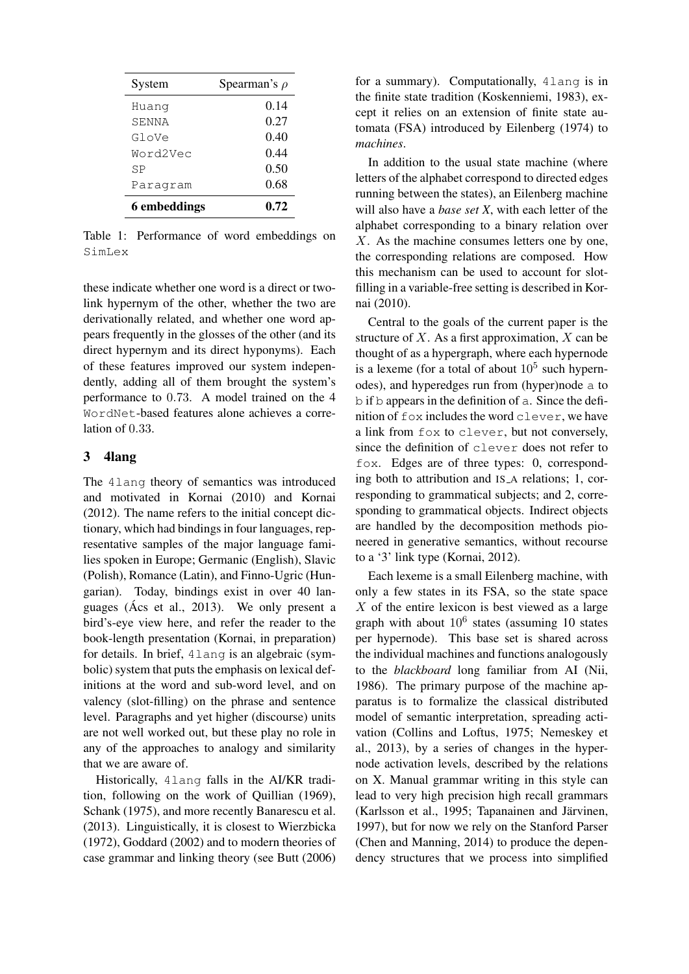| System       | Spearman's $\rho$ |
|--------------|-------------------|
| Huanq        | 0.14              |
| SENNA        | 0.27              |
| GloVe        | 0.40              |
| Word2Vec     | 0.44              |
| SP           | 0.50              |
| Paragram     | 0.68              |
| 6 embeddings | 0.72              |

Table 1: Performance of word embeddings on SimLex

these indicate whether one word is a direct or twolink hypernym of the other, whether the two are derivationally related, and whether one word appears frequently in the glosses of the other (and its direct hypernym and its direct hyponyms). Each of these features improved our system independently, adding all of them brought the system's performance to 0.73. A model trained on the 4 WordNet-based features alone achieves a correlation of 0.33.

### 3 4lang

The 4lang theory of semantics was introduced and motivated in Kornai (2010) and Kornai (2012). The name refers to the initial concept dictionary, which had bindings in four languages, representative samples of the major language families spoken in Europe; Germanic (English), Slavic (Polish), Romance (Latin), and Finno-Ugric (Hungarian). Today, bindings exist in over 40 languages (Acs et al., 2013). We only present a ´ bird's-eye view here, and refer the reader to the book-length presentation (Kornai, in preparation) for details. In brief, 4lang is an algebraic (symbolic) system that puts the emphasis on lexical definitions at the word and sub-word level, and on valency (slot-filling) on the phrase and sentence level. Paragraphs and yet higher (discourse) units are not well worked out, but these play no role in any of the approaches to analogy and similarity that we are aware of.

Historically, 4lang falls in the AI/KR tradition, following on the work of Quillian (1969), Schank (1975), and more recently Banarescu et al. (2013). Linguistically, it is closest to Wierzbicka (1972), Goddard (2002) and to modern theories of case grammar and linking theory (see Butt (2006) for a summary). Computationally, 4lang is in the finite state tradition (Koskenniemi, 1983), except it relies on an extension of finite state automata (FSA) introduced by Eilenberg (1974) to *machines*.

In addition to the usual state machine (where letters of the alphabet correspond to directed edges running between the states), an Eilenberg machine will also have a *base set X*, with each letter of the alphabet corresponding to a binary relation over X. As the machine consumes letters one by one, the corresponding relations are composed. How this mechanism can be used to account for slotfilling in a variable-free setting is described in Kornai (2010).

Central to the goals of the current paper is the structure of  $X$ . As a first approximation,  $X$  can be thought of as a hypergraph, where each hypernode is a lexeme (for a total of about  $10^5$  such hypernodes), and hyperedges run from (hyper)node a to b if b appears in the definition of a. Since the definition of fox includes the word clever, we have a link from fox to clever, but not conversely, since the definition of clever does not refer to fox. Edges are of three types: 0, corresponding both to attribution and IS\_A relations; 1, corresponding to grammatical subjects; and 2, corresponding to grammatical objects. Indirect objects are handled by the decomposition methods pioneered in generative semantics, without recourse to a '3' link type (Kornai, 2012).

Each lexeme is a small Eilenberg machine, with only a few states in its FSA, so the state space  $X$  of the entire lexicon is best viewed as a large graph with about  $10^6$  states (assuming 10 states per hypernode). This base set is shared across the individual machines and functions analogously to the *blackboard* long familiar from AI (Nii, 1986). The primary purpose of the machine apparatus is to formalize the classical distributed model of semantic interpretation, spreading activation (Collins and Loftus, 1975; Nemeskey et al., 2013), by a series of changes in the hypernode activation levels, described by the relations on X. Manual grammar writing in this style can lead to very high precision high recall grammars (Karlsson et al., 1995; Tapanainen and Järvinen, 1997), but for now we rely on the Stanford Parser (Chen and Manning, 2014) to produce the dependency structures that we process into simplified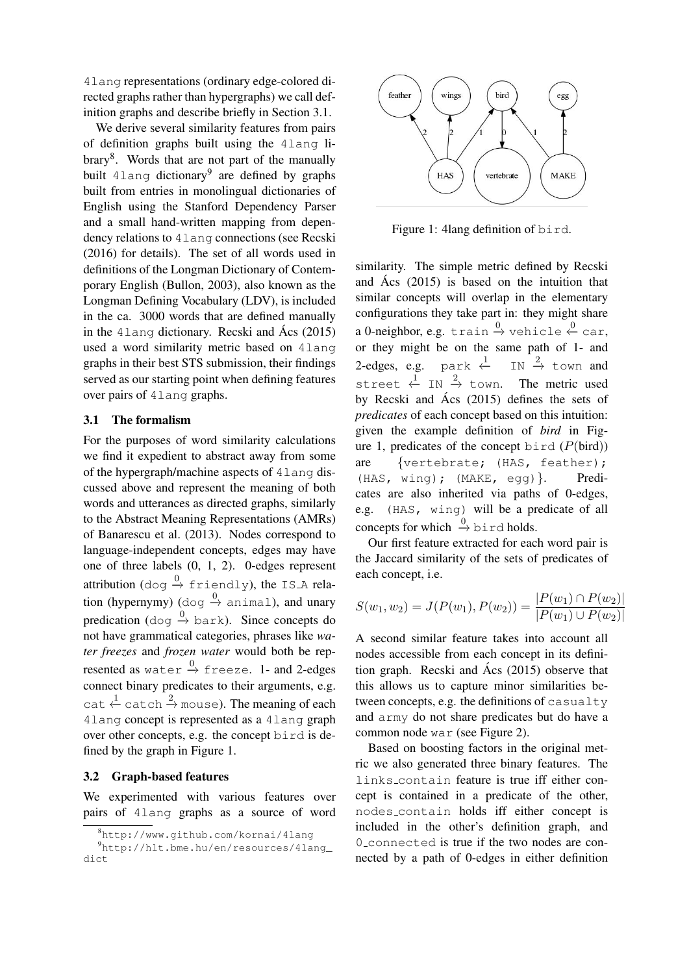4lang representations (ordinary edge-colored directed graphs rather than hypergraphs) we call definition graphs and describe briefly in Section 3.1.

We derive several similarity features from pairs of definition graphs built using the 4lang library<sup>8</sup>. Words that are not part of the manually built 4lang dictionary<sup>9</sup> are defined by graphs built from entries in monolingual dictionaries of English using the Stanford Dependency Parser and a small hand-written mapping from dependency relations to 4lang connections (see Recski (2016) for details). The set of all words used in definitions of the Longman Dictionary of Contemporary English (Bullon, 2003), also known as the Longman Defining Vocabulary (LDV), is included in the ca. 3000 words that are defined manually in the  $4 \text{lang dictionary}$ . Recski and  $\text{Ács}$  (2015) used a word similarity metric based on 4lang graphs in their best STS submission, their findings served as our starting point when defining features over pairs of 4lang graphs.

#### 3.1 The formalism

For the purposes of word similarity calculations we find it expedient to abstract away from some of the hypergraph/machine aspects of 4lang discussed above and represent the meaning of both words and utterances as directed graphs, similarly to the Abstract Meaning Representations (AMRs) of Banarescu et al. (2013). Nodes correspond to language-independent concepts, edges may have one of three labels (0, 1, 2). 0-edges represent attribution (dog  $\stackrel{0}{\rightarrow}$  friendly), the IS\_A relation (hypernymy) (dog  $\stackrel{0}{\rightarrow}$  animal), and unary predication (dog  $\stackrel{0}{\rightarrow}$  bark). Since concepts do not have grammatical categories, phrases like *water freezes* and *frozen water* would both be represented as  $\text{water} \stackrel{0}{\rightarrow} \text{freeze.}$  1– and 2-edges connect binary predicates to their arguments, e.g.  $cat \xleftarrow{1} cat \text{ch} \xrightarrow{2} \text{mouse}$ ). The meaning of each 4lang concept is represented as a 4lang graph over other concepts, e.g. the concept bird is defined by the graph in Figure 1.

#### 3.2 Graph-based features

We experimented with various features over pairs of 4lang graphs as a source of word



Figure 1: 4lang definition of bird.

similarity. The simple metric defined by Recski and  $\text{Acs}$  (2015) is based on the intuition that similar concepts will overlap in the elementary configurations they take part in: they might share a 0-neighbor, e.g. train  $\stackrel{0}{\rightarrow}$  vehicle  $\stackrel{0}{\leftarrow}$  car, or they might be on the same path of 1- and 2-edges, e.g. park  $\stackrel{1}{\leftarrow}$  IN  $\stackrel{2}{\rightarrow}$  town and street  $\stackrel{1}{\leftarrow}$  IN  $\stackrel{2}{\rightarrow}$  town. The metric used by Recski and  $\angle$  Acs (2015) defines the sets of *predicates* of each concept based on this intuition: given the example definition of *bird* in Figure 1, predicates of the concept bird  $(P(\text{bird}))$ are {vertebrate; (HAS, feather); (HAS, wing); (MAKE, egg)}. Predicates are also inherited via paths of 0-edges, e.g. (HAS, wing) will be a predicate of all concepts for which  $\stackrel{0}{\rightarrow}$  bird holds.

Our first feature extracted for each word pair is the Jaccard similarity of the sets of predicates of each concept, i.e.

$$
S(w_1, w_2) = J(P(w_1), P(w_2)) = \frac{|P(w_1) \cap P(w_2)|}{|P(w_1) \cup P(w_2)|}
$$

A second similar feature takes into account all nodes accessible from each concept in its definition graph. Recski and  $\acute{A}$ cs (2015) observe that this allows us to capture minor similarities between concepts, e.g. the definitions of casualty and army do not share predicates but do have a common node war (see Figure 2).

Based on boosting factors in the original metric we also generated three binary features. The links contain feature is true iff either concept is contained in a predicate of the other, nodes contain holds iff either concept is included in the other's definition graph, and 0 connected is true if the two nodes are connected by a path of 0-edges in either definition

<sup>8</sup>http://www.github.com/kornai/4lang

<sup>9</sup>http://hlt.bme.hu/en/resources/4lang\_ dict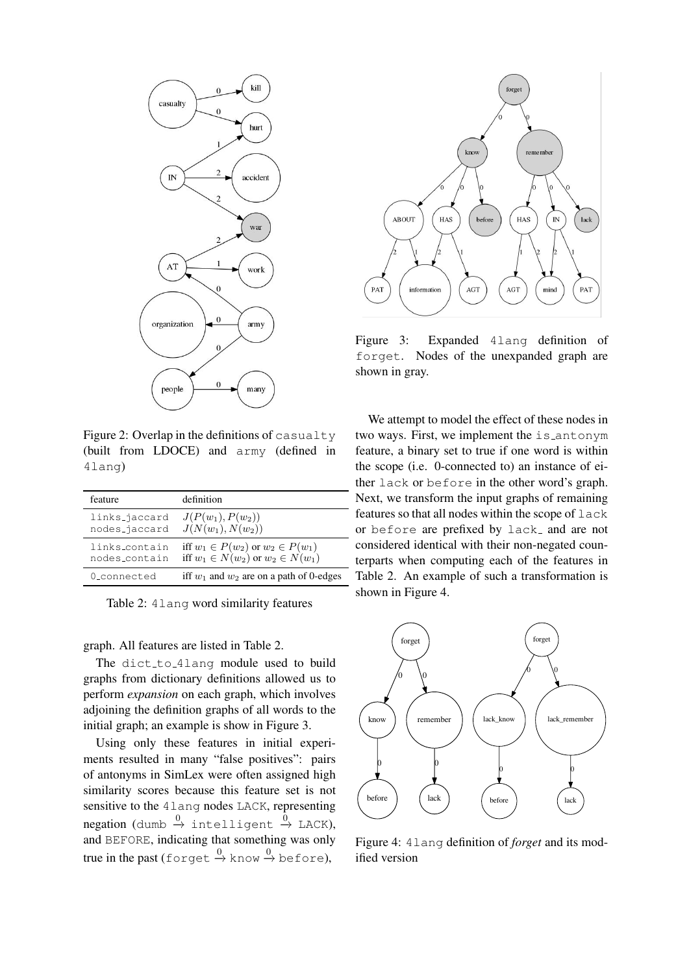

Figure 2: Overlap in the definitions of casualty (built from LDOCE) and army (defined in 4lang)

| feature       | definition                                   |
|---------------|----------------------------------------------|
| links_jaccard | $J(P(w_1), P(w_2))$                          |
| nodes_jaccard | $J(N(w_1), N(w_2))$                          |
| links_contain | iff $w_1 \in P(w_2)$ or $w_2 \in P(w_1)$     |
| nodes_contain | iff $w_1 \in N(w_2)$ or $w_2 \in N(w_1)$     |
| 0 connected   | iff $w_1$ and $w_2$ are on a path of 0-edges |

Table 2: 4lang word similarity features

#### graph. All features are listed in Table 2.

The dict\_to\_4lang module used to build graphs from dictionary definitions allowed us to perform *expansion* on each graph, which involves adjoining the definition graphs of all words to the initial graph; an example is show in Figure 3.

Using only these features in initial experiments resulted in many "false positives": pairs of antonyms in SimLex were often assigned high similarity scores because this feature set is not sensitive to the 4lang nodes LACK, representing  $negation$  (dumb  $\stackrel{0}{\rightarrow}$  intelligent  $\stackrel{0}{\rightarrow}$  LACK), and BEFORE, indicating that something was only true in the past (forget  $\stackrel{0}{\rightarrow}$  know  $\stackrel{0}{\rightarrow}$  before),



Figure 3: Expanded 4lang definition of forget. Nodes of the unexpanded graph are shown in gray.

We attempt to model the effect of these nodes in two ways. First, we implement the is\_antonym feature, a binary set to true if one word is within the scope (i.e. 0-connected to) an instance of either lack or before in the other word's graph. Next, we transform the input graphs of remaining features so that all nodes within the scope of lack or before are prefixed by lack\_ and are not considered identical with their non-negated counterparts when computing each of the features in Table 2. An example of such a transformation is shown in Figure 4.



Figure 4: 4lang definition of *forget* and its modified version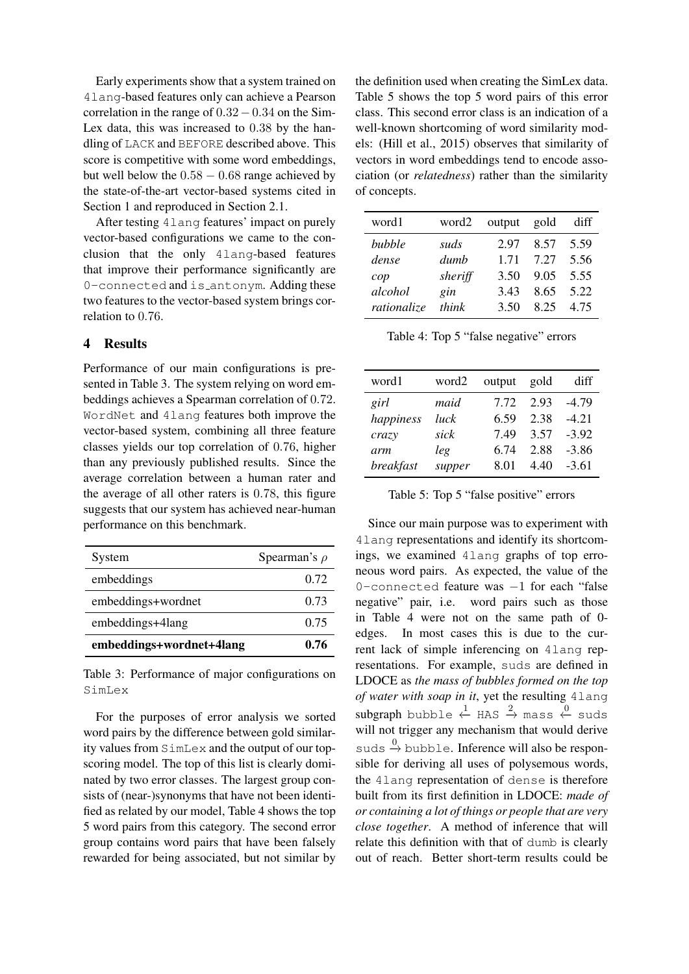Early experiments show that a system trained on 4lang-based features only can achieve a Pearson correlation in the range of  $0.32-0.34$  on the Sim-Lex data, this was increased to 0.38 by the handling of LACK and BEFORE described above. This score is competitive with some word embeddings, but well below the  $0.58 - 0.68$  range achieved by the state-of-the-art vector-based systems cited in Section 1 and reproduced in Section 2.1.

After testing 4lang features' impact on purely vector-based configurations we came to the conclusion that the only 4lang-based features that improve their performance significantly are 0-connected and is antonym. Adding these two features to the vector-based system brings correlation to 0.76.

#### 4 Results

Performance of our main configurations is presented in Table 3. The system relying on word embeddings achieves a Spearman correlation of 0.72. WordNet and 4lang features both improve the vector-based system, combining all three feature classes yields our top correlation of 0.76, higher than any previously published results. Since the average correlation between a human rater and the average of all other raters is 0.78, this figure suggests that our system has achieved near-human performance on this benchmark.

| System                   | Spearman's $\rho$ |
|--------------------------|-------------------|
| embeddings               | 0.72              |
| embeddings+wordnet       | 0.73              |
| embeddings+4lang         | 0.75              |
| embeddings+wordnet+4lang | 0.76              |

Table 3: Performance of major configurations on SimLex

For the purposes of error analysis we sorted word pairs by the difference between gold similarity values from SimLex and the output of our topscoring model. The top of this list is clearly dominated by two error classes. The largest group consists of (near-)synonyms that have not been identified as related by our model, Table 4 shows the top 5 word pairs from this category. The second error group contains word pairs that have been falsely rewarded for being associated, but not similar by

the definition used when creating the SimLex data. Table 5 shows the top 5 word pairs of this error class. This second error class is an indication of a well-known shortcoming of word similarity models: (Hill et al., 2015) observes that similarity of vectors in word embeddings tend to encode association (or *relatedness*) rather than the similarity of concepts.

| word1       | word2   | output gold |      | diff |
|-------------|---------|-------------|------|------|
| bubble      | suds    | 2.97        | 8.57 | 5.59 |
| dense       | dumh    | 1.71        | 7.27 | 5.56 |
| cop         | sheriff | 3.50        | 9.05 | 5.55 |
| alcohol     | gin     | 3.43        | 8.65 | 5.22 |
| rationalize | think   | 3.50        | 8.25 | 4.75 |

Table 4: Top 5 "false negative" errors

| word1     | word2  | output | gold | diff    |
|-----------|--------|--------|------|---------|
| girl      | maid   | 7.72   | 2.93 | -4 79   |
| happiness | luck   | 6.59   | 2.38 | $-421$  |
| crazy     | sick   | 749    | 3.57 | $-3.92$ |
| arm       | leg    | 6.74   | 2.88 | $-3.86$ |
| breakfast | supper | 8.01   | 4.40 | $-3.61$ |

Table 5: Top 5 "false positive" errors

Since our main purpose was to experiment with 4lang representations and identify its shortcomings, we examined 4lang graphs of top erroneous word pairs. As expected, the value of the 0-connected feature was −1 for each "false negative" pair, i.e. word pairs such as those in Table 4 were not on the same path of 0 edges. In most cases this is due to the current lack of simple inferencing on 4lang representations. For example, suds are defined in LDOCE as *the mass of bubbles formed on the top of water with soap in it*, yet the resulting 4lang  $\textsf{subgraph}$  bubble  $\overset{1}{\leftarrow}$  HAS  $\overset{2}{\rightarrow}$  mass  $\overset{0}{\leftarrow}$  suds will not trigger any mechanism that would derive suds  $\stackrel{0}{\rightarrow}$  bubble. Inference will also be responsible for deriving all uses of polysemous words, the 4lang representation of dense is therefore built from its first definition in LDOCE: *made of or containing a lot of things or people that are very close together*. A method of inference that will relate this definition with that of dumb is clearly out of reach. Better short-term results could be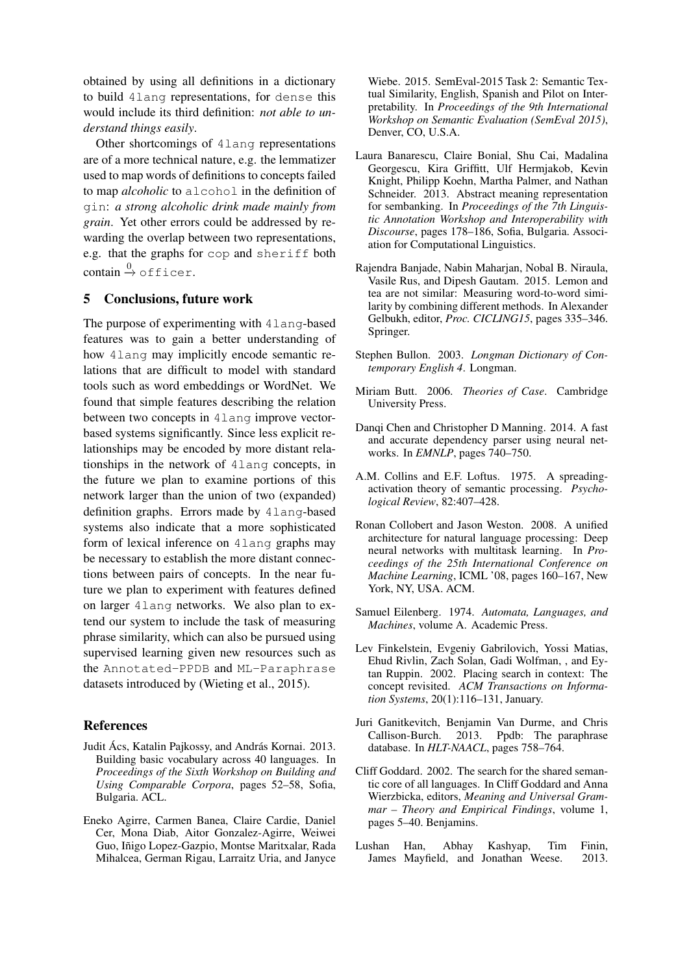obtained by using all definitions in a dictionary to build 4lang representations, for dense this would include its third definition: *not able to understand things easily*.

Other shortcomings of 4lang representations are of a more technical nature, e.g. the lemmatizer used to map words of definitions to concepts failed to map *alcoholic* to alcohol in the definition of gin: *a strong alcoholic drink made mainly from grain*. Yet other errors could be addressed by rewarding the overlap between two representations, e.g. that the graphs for cop and sheriff both  $\text{contain} \stackrel{0}{\rightarrow} \text{offer}.$ 

#### 5 Conclusions, future work

The purpose of experimenting with 4lang-based features was to gain a better understanding of how 4lang may implicitly encode semantic relations that are difficult to model with standard tools such as word embeddings or WordNet. We found that simple features describing the relation between two concepts in 4lang improve vectorbased systems significantly. Since less explicit relationships may be encoded by more distant relationships in the network of 4lang concepts, in the future we plan to examine portions of this network larger than the union of two (expanded) definition graphs. Errors made by 4lang-based systems also indicate that a more sophisticated form of lexical inference on 4lang graphs may be necessary to establish the more distant connections between pairs of concepts. In the near future we plan to experiment with features defined on larger 4lang networks. We also plan to extend our system to include the task of measuring phrase similarity, which can also be pursued using supervised learning given new resources such as the Annotated-PPDB and ML-Paraphrase datasets introduced by (Wieting et al., 2015).

#### References

- Judit Ács, Katalin Pajkossy, and András Kornai. 2013. Building basic vocabulary across 40 languages. In *Proceedings of the Sixth Workshop on Building and Using Comparable Corpora*, pages 52–58, Sofia, Bulgaria. ACL.
- Eneko Agirre, Carmen Banea, Claire Cardie, Daniel Cer, Mona Diab, Aitor Gonzalez-Agirre, Weiwei Guo, Iñigo Lopez-Gazpio, Montse Maritxalar, Rada Mihalcea, German Rigau, Larraitz Uria, and Janyce

Wiebe. 2015. SemEval-2015 Task 2: Semantic Textual Similarity, English, Spanish and Pilot on Interpretability. In *Proceedings of the 9th International Workshop on Semantic Evaluation (SemEval 2015)*, Denver, CO, U.S.A.

- Laura Banarescu, Claire Bonial, Shu Cai, Madalina Georgescu, Kira Griffitt, Ulf Hermjakob, Kevin Knight, Philipp Koehn, Martha Palmer, and Nathan Schneider. 2013. Abstract meaning representation for sembanking. In *Proceedings of the 7th Linguistic Annotation Workshop and Interoperability with Discourse*, pages 178–186, Sofia, Bulgaria. Association for Computational Linguistics.
- Rajendra Banjade, Nabin Maharjan, Nobal B. Niraula, Vasile Rus, and Dipesh Gautam. 2015. Lemon and tea are not similar: Measuring word-to-word similarity by combining different methods. In Alexander Gelbukh, editor, *Proc. CICLING15*, pages 335–346. Springer.
- Stephen Bullon. 2003. *Longman Dictionary of Contemporary English 4*. Longman.
- Miriam Butt. 2006. *Theories of Case*. Cambridge University Press.
- Danqi Chen and Christopher D Manning. 2014. A fast and accurate dependency parser using neural networks. In *EMNLP*, pages 740–750.
- A.M. Collins and E.F. Loftus. 1975. A spreadingactivation theory of semantic processing. *Psychological Review*, 82:407–428.
- Ronan Collobert and Jason Weston. 2008. A unified architecture for natural language processing: Deep neural networks with multitask learning. In *Proceedings of the 25th International Conference on Machine Learning*, ICML '08, pages 160–167, New York, NY, USA. ACM.
- Samuel Eilenberg. 1974. *Automata, Languages, and Machines*, volume A. Academic Press.
- Lev Finkelstein, Evgeniy Gabrilovich, Yossi Matias, Ehud Rivlin, Zach Solan, Gadi Wolfman, , and Eytan Ruppin. 2002. Placing search in context: The concept revisited. *ACM Transactions on Information Systems*, 20(1):116–131, January.
- Juri Ganitkevitch, Benjamin Van Durme, and Chris Callison-Burch. 2013. Ppdb: The paraphrase database. In *HLT-NAACL*, pages 758–764.
- Cliff Goddard. 2002. The search for the shared semantic core of all languages. In Cliff Goddard and Anna Wierzbicka, editors, *Meaning and Universal Grammar – Theory and Empirical Findings*, volume 1, pages 5–40. Benjamins.
- Lushan Han, Abhay Kashyap, Tim Finin, James Mayfield, and Jonathan Weese. 2013.